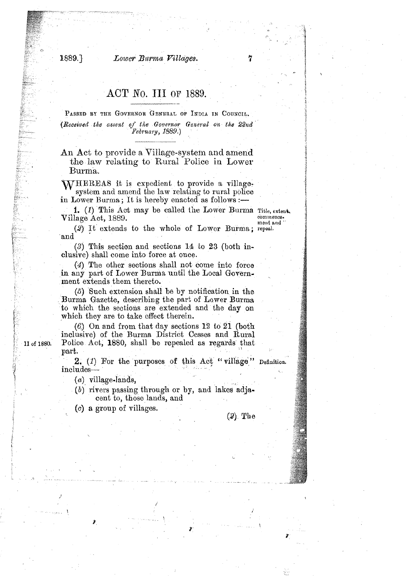### Lower Burma Villages.

1889.

# ACT No. III OF 1889.

PASSED BY THE GOVERNOR GENERAL OF INDIA IN COUNCIL. (Received the assent of the Governor General on the 22nd February, 1889.)

An Act to provide a Village-system and amend the law relating to Rural Police in Lower Burma.

WHEREAS it is expedient to provide a villagesystem and amend the law relating to rural police in Lower Burma; It is hereby enacted as follows :-

1. (1) This Act may be called the Lower Burma Title, extent. Village Act, 1889.

commence. ment and

(2) It extends to the whole of Lower Burma; repeal. and

 $(3)$  This section and sections 14 to 23 (both inclusive) shall come into force at once.

(4) The other sections shall not come into force in any part of Lower Burma until the Local Government extends them thereto.

 $(5)$  Such extension shall be by notification in the Burma Gazette, describing the part of Lower Burma to which the sections are extended and the day on which they are to take effect therein.

 $(6)$  On and from that day sections 12 to 21 (both inclusive) of the Burma District Cesses and Rural Police Act, 1880, shall be repealed as regards that part.

2.  $(1)$  For the purposes of this Act "village"  $include$ 

 $(a)$  village-lands,

 $(b)$  rivers passing through or by, and lakes adjacent to, those lands, and

(c) a group of villages.

### $(2)$ . The

II of 1880.

Definition.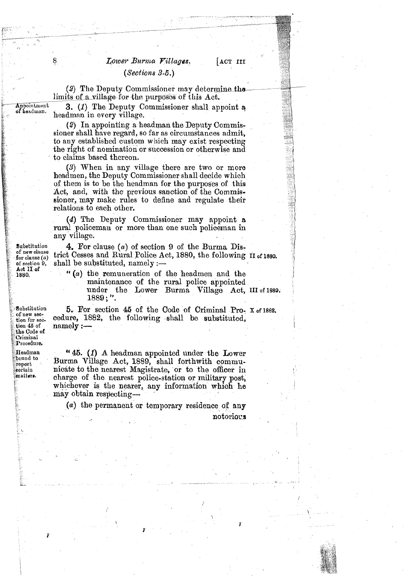## Lower Burma Villages.  $(Sections 3.5.)$

(2) The Deputy Commissioner may determine the limits of a village for the purposes of this  $Act.$ 

8

Appointment 3. (1) The Deputy Commissioner shall appoint a headman in every village.

> (2) In appointing a headman the Deputy Commissioner shall have regard, so far as circumstances admit, to any established custom which may exist respecting the right of nomination or succession or otherwise and to claims based thereon.

> **(3)** When in any village there are two or more headmen, the Deputy Commissioner shall decide which of them is to be the headman for the purposes of this Act, and, with the previous sanction of the Commissioner, may make rules to define and regulate their relations to each other.

(4) The Deputy Commissioner may appoint a rural policeman or more than one such policeman in any village.<br>Substitution 4. For a

Substitution 4. For clause (*a*) of section 9 of the Burma Distribution<br>of new clause (*a*) trict Cesses and Rural Police Act, 1880, the following 11 of 1880.<br>of section 9. shall be substituted. namely :-- $\mathbf{shall}\ \mathbf{be}\ \mathbf{substituted},\ \mathbf{namely}\ \mathbf{---}$ 

> : **1880.** *lC* (a) the remuneration of the headmen and **the**  maintenance of the rural police appointed under the Lower Burma Village Act, **III** of 1889. <sup>g</sup><sup>1889</sup>; ". **C~..**

5. Por section **45** of the Code of Criminal Pro- x ofisae. cedure, 1882, the following shall be substituted,  $\text{namely:}$ 

Procedure. Headman bound to report certain matters.

Substitution of new section for section 45 of the Code of Criminal

> " 45. (1) **<sup>A</sup>**headman appointed under the Lower Burma Village Act, 1889, shall forthwith communicate to the nearest Magistrate, or to the officer in charge of the nearest police-station or military post, whichever is the nearer, any information which he may obtain respecting-

(a) the permanent or temporary residence of any notoriocs

**Act II of** <br>1880.

**p.** 

ACT III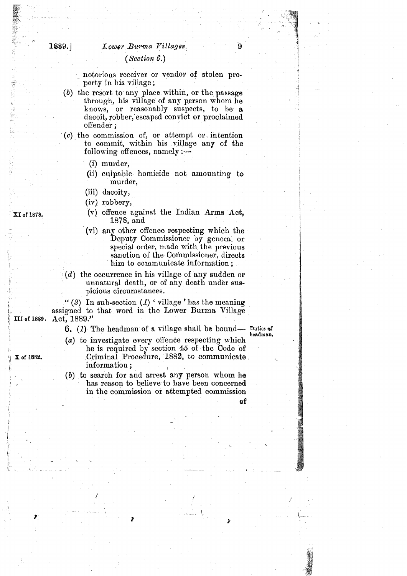### (Section *6.)*

notorious receiver or vendor of stolen property in his village ;

- *(b)* the resort to any place within, or the passage through, his village of any person whom he knows, or reasonably suspects, to be a dacoit, robber, escaped convict or proclaimed  $of **fender**$ :
- **(o)** the commission of, or attempt or intention to commit, within his village any of the following offences, namely  $:$   $-$ 
	- (i) murder,
	- (ii) culpable homicide not amounting to murder,
	- (iii) dacoity,
	- (iv) robbery,
	- (v) offence against the Indian Arms Act, 1878, and
	- (vi) any other offence respecting which the Deputy Commissioner by general or special order, made with the previous sanction of the Commissioner, directs him to communicate information ;
- (d) the occurrence in his village of any sudden or unnatural death, or of any death under suspicious circumstances.

" $(2)$  In sub-section  $(1)$  'village' has the meaning assigned to that word in the Lower Burma Village III of 1889. Act, 1889."

6. *(1)* The headman of a village shall be bound- **I)uties qf** \ **<sup>r</sup>**- **headman.** 

- (a) to investigate every offence respecting which he is required by section 45 of the Code of Criminal Procedure, 1882, to communicate.<br>information ;
- *(b)* to search for and arrest' any person whom he has reason to believe to have been concerned in the commission or attempted commission

 $\mathbf{C}$  of  $\mathbf{C}$  of  $\mathbf{C}$  of  $\mathbf{C}$  of  $\mathbf{C}$  of  $\mathbf{C}$  of  $\mathbf{C}$  of  $\mathbf{C}$  of  $\mathbf{C}$  of  $\mathbf{C}$  of  $\mathbf{C}$  of  $\mathbf{C}$  of  $\mathbf{C}$  of  $\mathbf{C}$  of  $\mathbf{C}$  of  $\mathbf{C}$  of  $\mathbf{C}$  of  $\mathbf{C}$  of  $\mathbf{$ 

XI of 1878.

X of 1882.

(小医器器音)式 阿洛黎州三族 平台

 $1889.1$ 

r-

,"

**<sup>n</sup>**\*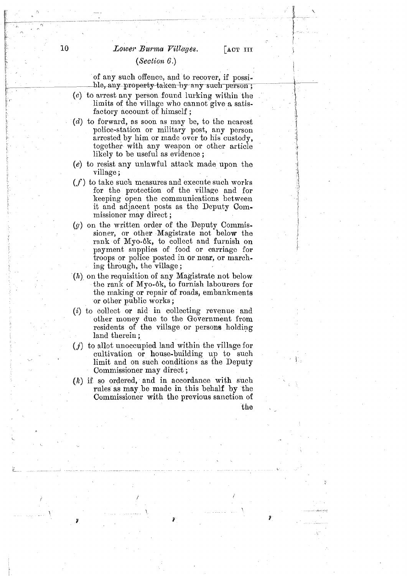### Lower Burma Villages.

# **<sup>E</sup>**k *(Seclion 6.)* <sup>i</sup>

of any such offence, and to recover, if possi ble, any property-taken-by-any such person;

- (c) to arrest any person found lurking within the limits of the village who cannot give a satisfactory account of himself ;
- (d) to forward, as soon as may be, to the nearest police-station or military post, any person arrested by him or made over to his custody, together with any weapon or other article likely to be useful as evidence ;
- $(e)$  to resist any unlawful attack made upon the village ;
- $(f)$  to take such measures and execute such works for the protection of the village and for keeping open the communications between it and adjacent posts as the Deputy Commissioner may direct ;
- $(g)$  on the written order of the Deputy Commissioner, or other Magistrate not below the rank of Myo-Gk, to collect and furnish on payment supplies of food or carriagc for troops or police posted in or near, or marching through, the village;
- $\mathcal{F}(h)$  on the requisition of any Magistrate not below the rank of Myo-8k, to furnish labourers for the making or repair of roads, embankments or other public works ;
- (i) to collect or aid in collecting revenue and other money due to the Government from residents of the village or persons holding land therein ;
- *(j)* to allot unoccupied land within the village for cultivation or house-building up to such limit and on such conditions as the Deputy Commissioner may direct;
- $(k)$  if so ordered, and in accordance with such rules as may be made in this behalf by the Commissioner with the previous sanction of the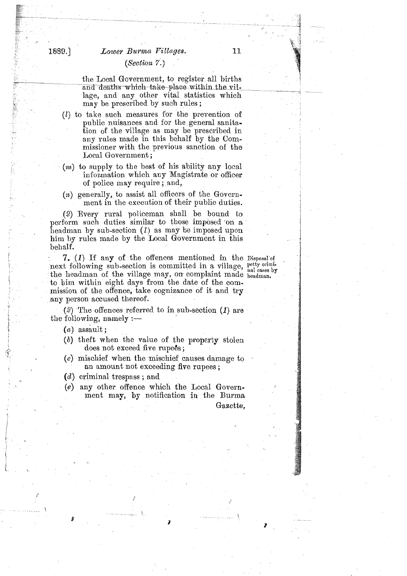# Lower Burma Villages. (Section  $\mathbf{7}$ .)

the Local Government, to register all births and deaths which take place within the vil-<br>and deaths which take place within the vil-<br>lage, and any other vital statistics which lage, and any other vital statistics which may be prescribed by such rules;

- *(l)* to take such measures for the prevention of public nuisances and for the general sanitation of the village as may be prescribed in any rules made in this behalf by the Commissioner with the previous sanction of the Local Government ;
- (m) to supply to the best of his ability any local information which any Magistrate or officer of police may require; and,
- (n) generally, to assist all officers of the Government in the execution of their public duties.

(2) Every rural policeman shall be bound to perform such duties similar to those imposed 'on **a**  headman by sub-section (1) as may be imposed upon him by rules made by the Local Government in this behalf.

7. (1) If any of the offences mentioned in the Disposal of next following sub-section is committed in a village,  $_{\text{p}}^{\text{petty}}$  crimination is committed in a village,  $_{\text{p}}^{\text{petty}}$  crimination the headman of the village may, on complaint made headman. to him within eight days from the date of the commission of the offence, take cognizance of it and try any person accused thereof.

*(2)* The offences referred to in sub-section *(1)* are the following, namely  $:$   $-$ 

 $(a)$  assault;

 $\frac{1}{2}$ 

1889.]

2012年1月1日、北京大学教授の研究所で、「1999年1月1日、1999年1月1日、1999年1月1日、1999年1月1日、1999年1月1日、1999年1月1日、1999年1月1日、1999年1月

- (6) theft when the value of the property stolen does not exceed five rupees;
- $(c)$  mischief when the mischief causes damage to an amount not exceeding five rupees ;
- (d) criminal trespass ; and
- (e) any other offence which the Local Government may, by notification in the Burma Gazette,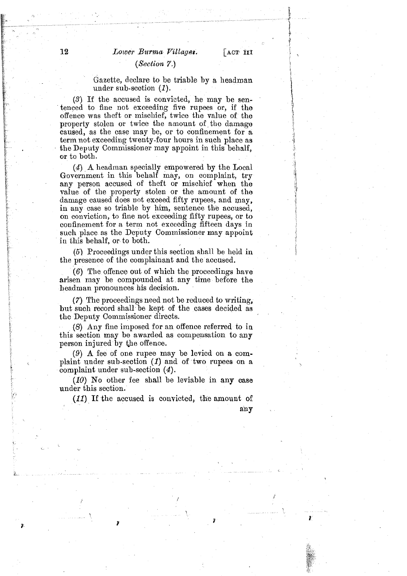f

### $(Section 7.)$

Gazette, declare to be triable by a headman under sub-scotion (1).

**(3)** If the accused is convicted, he may be sentenced to fine not exceeding five rupees or, if the offence was theft or mischief, twice the value of the property stolen or twice the amount of the damage caused, as the case may be, or to confinement for a term not exceeding twenty-four hours in such place as the Deputy Commissioner may appoint in this behalf, or to both.

(4) A headman specially empowered by the Local Government in this behalf may, on complaint,  $trv$ any person accused of theft or mischief when the value of the property stolen or the amount of the damage caused does not exceed fifty rupees, and may, in any case so triable by him, sentence the accused, on conviction, to fine not exceeding fifty rupees, or to confinement for **n** term not exceeding fifteen days in such place as the Deputy Commissioner may appoint in this behalf, or to both.

*(5)* Proceedings under this section shall be held in the presence of the complainant and the accused.

(6) The offence out of which the proceedings have arisen may be compounded at any time before the headman pronounces his decision.

**(7)** The proceedings need not be reduced to writing, but such record shall be kept of the cases decided as the Deputy Commissioner directs.

(8) Any fiue imposed for an offence referred to in this section may be awarded as compensation to any person injured by the offence.

(9) **A** fee of one rupee may be levied on a complaint under sub-section  $(1)$  and of two rupees on a complaint under sub-section  $(4)$ .

**(10) No** other fee shall be leviable in any case under this section.

(11) If the accused is convicted, the amount of any

ğ.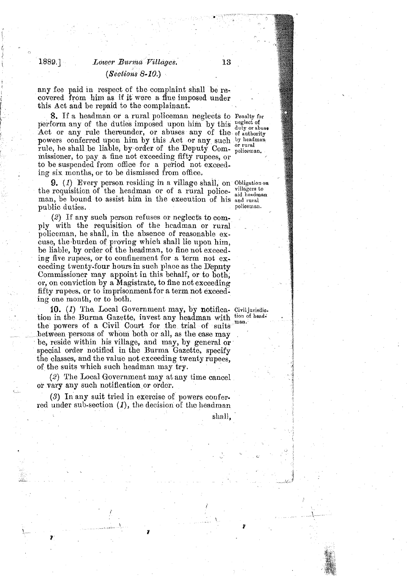## 1889.1 *Lowcr Burma* **Pillages.**  *(Sections* 8- **10.)**

any Eee paid in respect of the complaint shall be **rs**covered from him as if it were a flue imposed under this Act and be repaid to the complainant.

8. If a headman or a rural policeman neglects to Penalty for perform any of the duties imposed upon him by this neglect of Act or any rule thereunder, or abuses any of the of authority powers conferred upon him by this Act or any such by headman rule, he shall be liable, by order of the Deputy Com- policeman. missioner, to pay a fine not exceeding fifty rupees, or to be suspended from office for a period not exceeding six months, or to be dismissed from office,

9.  $(1)$  Every person residing in a village shall, on Obligation on requisition of the headman on of a rural police villagers to the requisition of the headman or of a rural police-  $_{\text{aid headman}}^{\text{vingsers to}}$ man, be bound to assist him in the execution of his and rural<br>nublic duties. public duties.

(2) If any such person refuses or neglects to comply with the requisition of the headman or rural policeman, he shall, in the absence of reasonable excuse, the.burden of proving which shall lie npon him, be liable, by order of the headman, to fine not exceeding five rupees, or to confinement for a term not  $ex$ ceeding twenty-four hours in such place as the Deputy Commissioner may appoint in this behalf, or to both, or, on conviction by a Magistrate, to fine not exceeding fifty rupees, or to imprisonment for a term not exceeding one month, or to both.

**10.** (1) The Local Government may, by notifica. Civiljurisdic. tion in the Burma Gazette, invest any headman with *tion* of headthe powers of a Civil Court for the trial of suits between persons of whom both or all, as the case may be, reside within his village, and may, by general or special order notified in the Burma Gazette, specify the classes, and the value not exceeding twenty rupees, of the suits which such headman may try.

(2) The Local Government may at any time cancel **ii**  or vary any such notification or order.

(3) In any suit tried in exercise of powers conferred under sub-section *(I),* the decision of the headman

shall,

**b**i *g*<sup>7</sup> **g***7 g<sup>7</sup> g<sup>7</sup> g<sup>7</sup> g<sup>7</sup> g<sup>7</sup> g<sup>7</sup> g<sup>7</sup> g<sup>7</sup> g<sup>7</sup> g<sup>7</sup> g<sup>7</sup> g<sup>7</sup> g<sup>7</sup>* 

**b** <,

ina and the model of the second second second second second second second second second second second second s<br>المستشركة المستشركة المستشركة المستشركة المستشركة المستشركة المستشركة المستشركة المستشركة المستشركة المستشركة<br> ख्

?

i<br>Salah Sa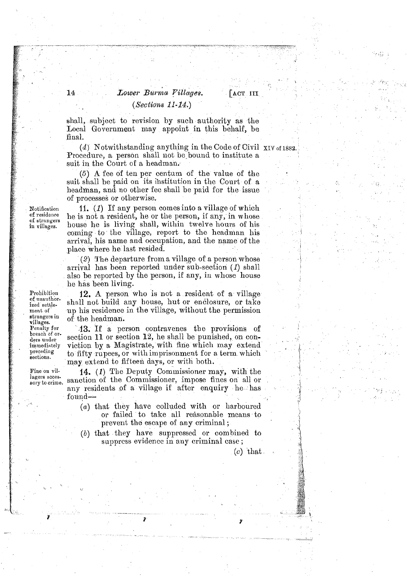# Lower Burma Villages.  $(Sections 11-14.)$

LACT III

shall, subject to revision by such authority as the Local Government may appoint in this behalf, be final.

 $(4)$  Notwithstanding anything in the Code of Civil XIV of 1882. Procedure, a person shall not be bound to institute a suit in the Court of a headman.

 $(5)$  A fee of ten per centum of the value of the suit shall be paid on its institution in the Court of a headman, and no other fee shall be paid for the issue of processes or otherwise.

11. (1) If any person comes into a village of which he is not a resident, he or the person, if any, in whose house he is living shall, within twelve hours of his coming to the village, report to the headman his arrival, his name and occupation, and the name of the place where he last resided.

(2) The departure from a village of a person whose arrival has been reported under sub-section (1) shall also be reported by the person, if any, in whose house he has been living.

12. A person who is not a resident of a village shall not build any house, hut or enclosure, or take up his residence in the village, without the permission of the headman.

43. If a person contravenes the provisions of section 11 or section 12, he shall be punished, on conviction by a Magistrate, with fine which may extend to fifty rupees, or with imprisonment for a term which may extend to fifteen days, or with both.

14. (1) The Deputy Commissioner may, with the sanction of the Commissioner, impose fines on all or any residents of a village if after enquiry he has found-

- (a) that they have colluded with or harboured or failed to take all reasonable means to prevent the escape of any criminal;
- $(b)$  that they have suppressed or combined to suppress evidence in any criminal case;

 $(c)$  that

Notification of residence of strangers in villages.

14

Prohibition of unauthor. ized settlement of strangers in villages. Penalty for breach of orders under immediately preceding sections.

Fine on villagers accessory to crime.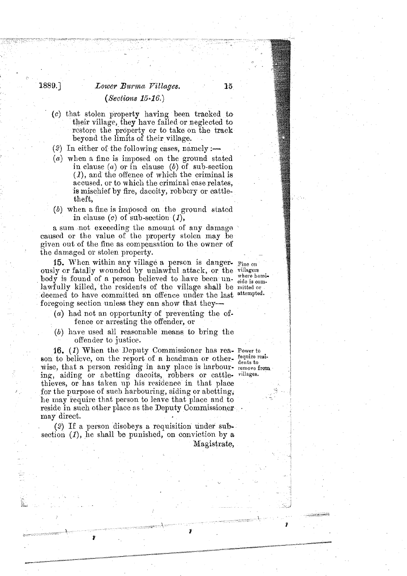# 1889. ] *Zower Barmu Pillages. (Sections 15-16.)*

- (c) that stolen property having been tracked to their village, they have failed or neglected to restore the property or to take on the track beyond the limits of their village.
- $(2)$  In either of the following cases, namely :-
- *(a)* when a fine is imposed on the ground stated in clause (a) or in clause *(b)* of sub-section **(l),** and the offence of which the criminal is accused, or to which the criminal case relates, is mischief by fire, dacoity, robbcry or cattletheft,
- *(6)* when a fine is imposcd on the ground statcd in clause (c) of sub-section *(I),*

a sum not exceeding the amount of any damage caused or the value of the property stolen may be given out of the fine as compensation to the owner of the damaged or stolen property.

15. When within any village a person is danger-  $F_{\text{line on}}$  ously or fatally wounded by unlawful attack, or the villagers leads in factor of a process leads to the villagers  $\overline{body}$  is found of a person believed to have been un-  $\overline{w}$  are nonlawfully killed, the residents of the village shall be mitted or deemed to have committed an offence under the last attempted. foregoing section unless they can show that they--

- (&) had not an opportunity of preventing the offence or arresting the offender, or
- *(b)* have used all reasonable means to bring the offender to justice.

16. (1) When the Dcputy Commissioner has res- Power to son to believe, on the report of a headman or other- require resigned that a newcome residing in any place is back on wise, that a person residing in any place is harbour- remove from ing, aiding or abetting dacoits, robbers or cattle- villages. thieves, or has taken up his residence in that place for the purpose of such harbouring, aiding or abetting, he may require that person to leave that place and to reside in such other place as the Deputy Commissioner may direct.

*(2)* If a person disobeys a requisition under subsection (1), he shall be punished, on conviction by a Magistrate,

L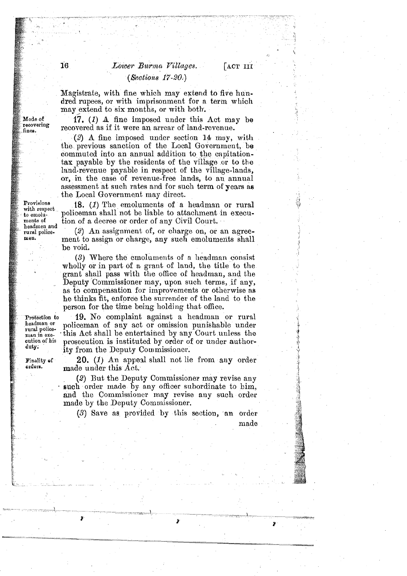## Lower Burma Villages.  $(Sections 17-20.)$

Magistrate, with fine whioh may extend to five hun- . dred rupees, or with imprisonment for a term whioh may extend to six months, or with both.

17. *(I)* **A** fine imposed under thin Act may be recovered as if it were an arrear of land-revenue.

(2) **A** fine imposed under section **16** may, with the. previous sanction of the Local Government, **be**  commuted into an annual addition to the capitationtax payable by the residents of the village or to the land-revenue payable in respect of the village-lands, or, in the case of revenue-free lands, to an annual assessment at such rates and for such term of years as the Local Government may direct.

18. (1) The emoluments of a headman or rural policeman shall not be liable to attachment in execution of a decree or order of any Civil Court.

 $(2)$  An assignment of, or charge on, or an agreement to assign or charge, any such emoluments shall be void.

(3) Where the emoluments of a headman consist wholly or in part of a grant of land, the title to the grant shall pass with the office of headman, and the Deputy Commissioner may, upon such terms, if any, as to compensation for improvements or otherwise as he thinks fit, enforce the surrender of the land to the person for the time being holding that office.

19. No complaint against a headman or rural policeman of any act or omission punishable under this Act shall be entertained by any Court unless the man in exe. This Act shall be entertained by any Court unless the cution of his prosecution is instituted by order of or under author-<br>duty: it from the Denuty Commissioner ity from the Deputy Commissioner.

> 20. (1) An appeal shall not lie from any order made under this **Act:**

> , (2) But the Deputy Commissioner may revise any such order made by any officer subordinate to him, and the Commissioner may revise any such order made by the Deputy Commissioner.

(3) Save as provided by this section, an order

Mode of recovering fines.

 $\overline{16}$ 

Provisions with respect to emoluments of headmen and rural policemen.

Protection to headman or rural police-

Finality of orders.

made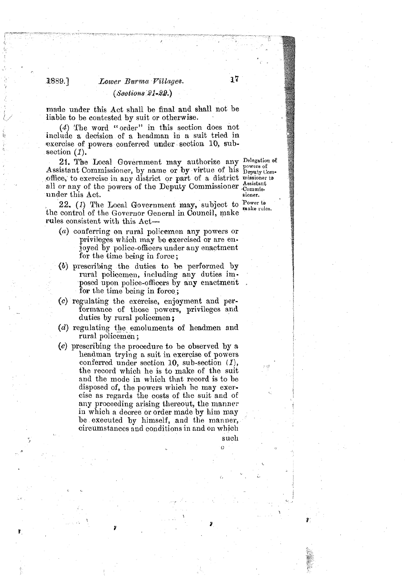# $2889.$  *Lower Burma Villages.*  $17$  $(Seotions 21-82)$

made under this Act shall be final and shall not be liable to be contested by suit or otherwise.

(4) The word "order" in this section does not include a decision of a headman in a suit tried in exercise of powers conferred under section 10, subsection  $(1)$ .

21. The Local Government may authorize any Delegation of Assistant Commissioner, by name or by virtue of his Deputy Com-<br>office, to exercise in any district or part of a district missioner to office, to exercise in any district or part of a district missioner  $\frac{A \text{ s} \text{ s} \text{ s} \text{ s} }{C \text{ commus}}$ under this Act. sioner.

22. (1) The Local Government may, subject to Power to the control of the Governor General in Counoil, make rules consistent with this Act-

- *(a)* conferring on rural policemen any powers or privileges which may **be** exercised or are enjoyed by police-officers under any enactment for the time being in force;
- (bj prescribing the duties to **be** performed by rural policemen, including any duties imposed upon police-officers by any enactment for the time being in force ;
- $(c)$  regulating the exercise, enjoyment and performance of those powers, privileges and duties by rural policemen;
- **(d)** regulating the emoluments of headmen and rural policemen ;
- **(e)** prescribing the procedure to be observed by *s*  headman trying a suit in exercise of powers conferred under section 10, sub-section *(I),*  the record which he is to make of the suit and the mode in which that record is to be disposed of, the powers which he may exercise as regards the costs of the suit and of any proceeding arising thereout, the manner in which a decree or order made by him may be executed by himself, and the manuer, circumstances and conditions in and on which

such **0**